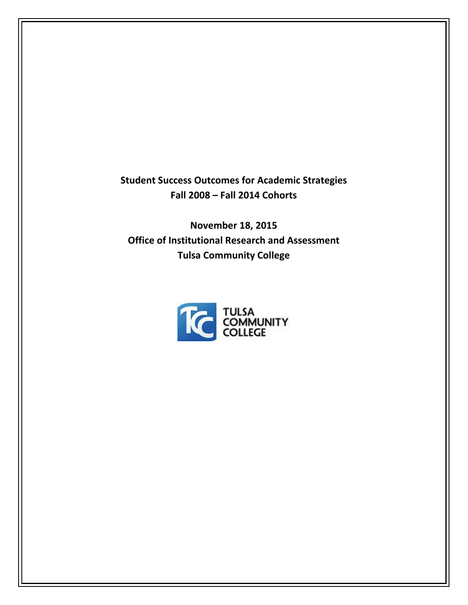**Student Success Outcomes for Academic Strategies Fall 2008 – Fall 2014 Cohorts**

**November 18, 2015 Office of Institutional Research and Assessment Tulsa Community College**

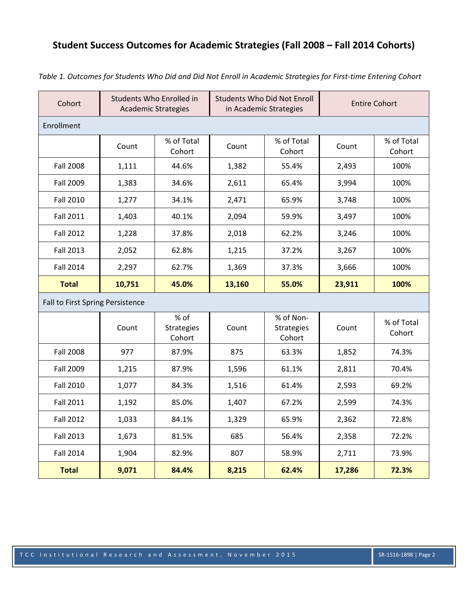## **Student Success Outcomes for Academic Strategies (Fall 2008 – Fall 2014 Cohorts)**

| Cohort                           | Students Who Enrolled in<br><b>Academic Strategies</b> |                                     | <b>Students Who Did Not Enroll</b><br>in Academic Strategies |                                          | <b>Entire Cohort</b> |                      |  |
|----------------------------------|--------------------------------------------------------|-------------------------------------|--------------------------------------------------------------|------------------------------------------|----------------------|----------------------|--|
| Enrollment                       |                                                        |                                     |                                                              |                                          |                      |                      |  |
|                                  | Count                                                  | % of Total<br>Cohort                | Count                                                        | % of Total<br>Cohort                     | Count                | % of Total<br>Cohort |  |
| <b>Fall 2008</b>                 | 1,111                                                  | 44.6%                               | 1,382                                                        | 55.4%                                    | 2,493                | 100%                 |  |
| Fall 2009                        | 1,383                                                  | 34.6%                               | 2,611                                                        | 65.4%                                    | 3,994                | 100%                 |  |
| <b>Fall 2010</b>                 | 1,277                                                  | 34.1%                               | 2,471                                                        | 65.9%                                    | 3,748                | 100%                 |  |
| <b>Fall 2011</b>                 | 1,403                                                  | 40.1%                               | 2,094                                                        | 59.9%                                    | 3,497                | 100%                 |  |
| <b>Fall 2012</b>                 | 1,228                                                  | 37.8%                               | 2,018                                                        | 62.2%                                    | 3,246                | 100%                 |  |
| <b>Fall 2013</b>                 | 2,052                                                  | 62.8%                               | 1,215                                                        | 37.2%                                    | 3,267                | 100%                 |  |
| <b>Fall 2014</b>                 | 2,297                                                  | 62.7%                               | 1,369                                                        | 37.3%                                    | 3,666                | 100%                 |  |
| <b>Total</b>                     | 10,751                                                 | 45.0%                               | 13,160                                                       | 55.0%                                    | 23,911               | 100%                 |  |
| Fall to First Spring Persistence |                                                        |                                     |                                                              |                                          |                      |                      |  |
|                                  | Count                                                  | % of<br><b>Strategies</b><br>Cohort | Count                                                        | % of Non-<br><b>Strategies</b><br>Cohort | Count                | % of Total<br>Cohort |  |
| <b>Fall 2008</b>                 | 977                                                    | 87.9%                               | 875                                                          | 63.3%                                    | 1,852                | 74.3%                |  |
| Fall 2009                        | 1,215                                                  | 87.9%                               | 1,596                                                        | 61.1%                                    | 2,811                | 70.4%                |  |
| <b>Fall 2010</b>                 | 1,077                                                  | 84.3%                               | 1,516                                                        | 61.4%                                    | 2,593                | 69.2%                |  |
| <b>Fall 2011</b>                 | 1,192                                                  | 85.0%                               | 1,407                                                        | 67.2%                                    | 2,599                | 74.3%                |  |
| <b>Fall 2012</b>                 | 1,033                                                  | 84.1%                               | 1,329                                                        | 65.9%                                    | 2,362                | 72.8%                |  |
| <b>Fall 2013</b>                 | 1,673                                                  | 81.5%                               | 685                                                          | 56.4%                                    | 2,358                | 72.2%                |  |
| <b>Fall 2014</b>                 | 1,904                                                  | 82.9%                               | 807                                                          | 58.9%                                    | 2,711                | 73.9%                |  |
| <b>Total</b>                     | 9,071                                                  | 84.4%                               | 8,215                                                        | 62.4%                                    | 17,286               | 72.3%                |  |

Table 1. Outcomes for Students Who Did and Did Not Enroll in Academic Strategies for First-time Entering Cohort

## TCC Institutional Research and Assessment, November 2015 SR‐1516‐1898 | Page 2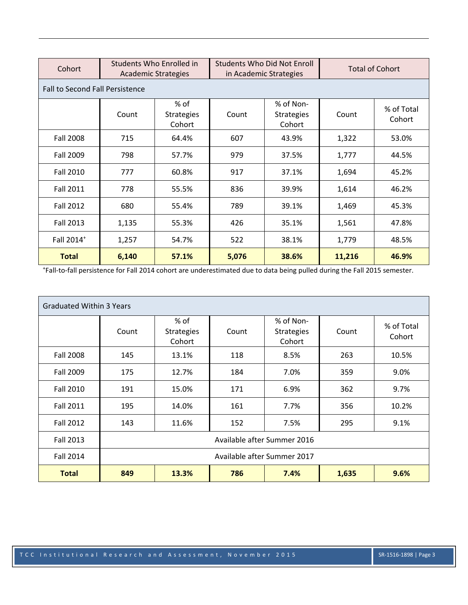| Cohort                                 | Students Who Enrolled in<br><b>Academic Strategies</b> |                                     | <b>Students Who Did Not Enroll</b><br>in Academic Strategies |                                          | <b>Total of Cohort</b> |                      |  |  |
|----------------------------------------|--------------------------------------------------------|-------------------------------------|--------------------------------------------------------------|------------------------------------------|------------------------|----------------------|--|--|
| <b>Fall to Second Fall Persistence</b> |                                                        |                                     |                                                              |                                          |                        |                      |  |  |
|                                        | Count                                                  | % of<br><b>Strategies</b><br>Cohort | Count                                                        | % of Non-<br><b>Strategies</b><br>Cohort | Count                  | % of Total<br>Cohort |  |  |
| <b>Fall 2008</b>                       | 715                                                    | 64.4%                               | 607                                                          | 43.9%                                    | 1,322                  | 53.0%                |  |  |
| <b>Fall 2009</b>                       | 798                                                    | 57.7%                               | 979                                                          | 37.5%                                    | 1,777                  | 44.5%                |  |  |
| <b>Fall 2010</b>                       | 777                                                    | 60.8%                               | 917                                                          | 37.1%                                    | 1,694                  | 45.2%                |  |  |
| <b>Fall 2011</b>                       | 778                                                    | 55.5%                               | 836                                                          | 39.9%                                    | 1,614                  | 46.2%                |  |  |
| <b>Fall 2012</b>                       | 680                                                    | 55.4%                               | 789                                                          | 39.1%                                    | 1,469                  | 45.3%                |  |  |
| <b>Fall 2013</b>                       | 1,135                                                  | 55.3%                               | 426                                                          | 35.1%                                    | 1,561                  | 47.8%                |  |  |
| Fall 2014 <sup>+</sup>                 | 1,257                                                  | 54.7%                               | 522                                                          | 38.1%                                    | 1,779                  | 48.5%                |  |  |
| <b>Total</b>                           | 6,140                                                  | 57.1%                               | 5,076                                                        | 38.6%                                    | 11,216                 | 46.9%                |  |  |

+ Fall‐to‐fall persistence for Fall 2014 cohort are underestimated due to data being pulled during the Fall 2015 semester.

| <b>Graduated Within 3 Years</b> |                             |                                     |       |                                   |       |                      |  |
|---------------------------------|-----------------------------|-------------------------------------|-------|-----------------------------------|-------|----------------------|--|
|                                 | Count                       | % of<br><b>Strategies</b><br>Cohort | Count | % of Non-<br>Strategies<br>Cohort | Count | % of Total<br>Cohort |  |
| <b>Fall 2008</b>                | 145                         | 13.1%                               | 118   | 8.5%                              | 263   | 10.5%                |  |
| Fall 2009                       | 175                         | 12.7%                               | 184   | 7.0%                              | 359   | 9.0%                 |  |
| <b>Fall 2010</b>                | 191                         | 15.0%                               | 171   | 6.9%                              | 362   | 9.7%                 |  |
| <b>Fall 2011</b>                | 195                         | 14.0%                               | 161   | 7.7%                              | 356   | 10.2%                |  |
| <b>Fall 2012</b>                | 143                         | 11.6%                               | 152   | 7.5%                              | 295   | 9.1%                 |  |
| Fall 2013                       | Available after Summer 2016 |                                     |       |                                   |       |                      |  |
| <b>Fall 2014</b>                | Available after Summer 2017 |                                     |       |                                   |       |                      |  |
| <b>Total</b>                    | 849                         | 13.3%                               | 786   | 7.4%                              | 1,635 | 9.6%                 |  |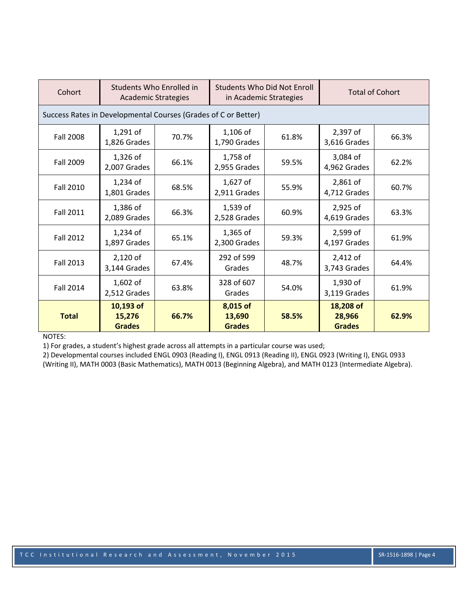| Cohort                                                         | Students Who Enrolled in<br><b>Academic Strategies</b> |       | <b>Students Who Did Not Enroll</b><br>in Academic Strategies |       | <b>Total of Cohort</b>               |       |  |
|----------------------------------------------------------------|--------------------------------------------------------|-------|--------------------------------------------------------------|-------|--------------------------------------|-------|--|
| Success Rates in Developmental Courses (Grades of C or Better) |                                                        |       |                                                              |       |                                      |       |  |
| <b>Fall 2008</b>                                               | $1,291$ of<br>1,826 Grades                             | 70.7% | $1,106$ of<br>1,790 Grades                                   | 61.8% | 2,397 of<br>3,616 Grades             | 66.3% |  |
| Fall 2009                                                      | 1,326 of<br>2,007 Grades                               | 66.1% | 1,758 of<br>2,955 Grades                                     | 59.5% | 3,084 of<br>4,962 Grades             | 62.2% |  |
| <b>Fall 2010</b>                                               | $1,234$ of<br>1,801 Grades                             | 68.5% | $1,627$ of<br>2,911 Grades                                   | 55.9% | 2,861 of<br>4,712 Grades             | 60.7% |  |
| <b>Fall 2011</b>                                               | 1,386 of<br>2,089 Grades                               | 66.3% | 1,539 of<br>2,528 Grades                                     | 60.9% | 2,925 of<br>4,619 Grades             | 63.3% |  |
| <b>Fall 2012</b>                                               | $1,234$ of<br>1,897 Grades                             | 65.1% | $1,365$ of<br>2,300 Grades                                   | 59.3% | 2,599 of<br>4,197 Grades             | 61.9% |  |
| <b>Fall 2013</b>                                               | 2,120 of<br>3,144 Grades                               | 67.4% | 292 of 599<br>Grades                                         | 48.7% | 2,412 of<br>3,743 Grades             | 64.4% |  |
| Fall 2014                                                      | $1,602$ of<br>2,512 Grades                             | 63.8% | 328 of 607<br>Grades                                         | 54.0% | 1,930 of<br>3,119 Grades             | 61.9% |  |
| <b>Total</b>                                                   | 10,193 of<br>15,276<br><b>Grades</b>                   | 66.7% | 8,015 of<br>13,690<br><b>Grades</b>                          | 58.5% | 18,208 of<br>28,966<br><b>Grades</b> | 62.9% |  |

NOTES:

1) For grades, a student's highest grade across all attempts in a particular course was used;

2) Developmental courses included ENGL 0903 (Reading I), ENGL 0913 (Reading II), ENGL 0923 (Writing I), ENGL 0933 (Writing II), MATH 0003 (Basic Mathematics), MATH 0013 (Beginning Algebra), and MATH 0123 (Intermediate Algebra).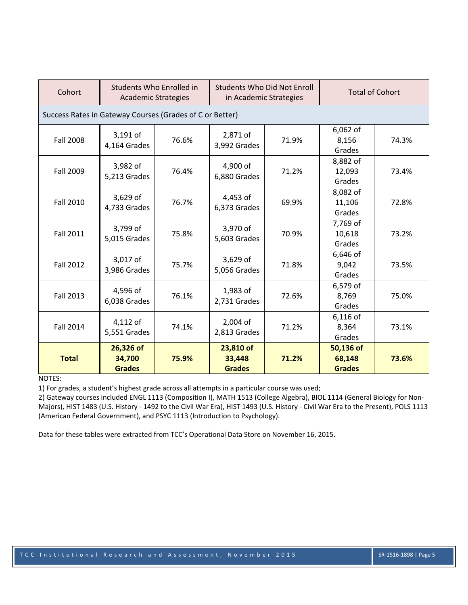| Cohort                                                   | Students Who Enrolled in<br><b>Academic Strategies</b> |       | Students Who Did Not Enroll<br>in Academic Strategies |       | <b>Total of Cohort</b>               |       |  |
|----------------------------------------------------------|--------------------------------------------------------|-------|-------------------------------------------------------|-------|--------------------------------------|-------|--|
| Success Rates in Gateway Courses (Grades of C or Better) |                                                        |       |                                                       |       |                                      |       |  |
| <b>Fall 2008</b>                                         | 3,191 of<br>4,164 Grades                               | 76.6% | 2,871 of<br>3,992 Grades                              | 71.9% | 6,062 of<br>8,156<br>Grades          | 74.3% |  |
| Fall 2009                                                | 3,982 of<br>5,213 Grades                               | 76.4% | 4,900 of<br>6,880 Grades                              | 71.2% | 8,882 of<br>12,093<br>Grades         | 73.4% |  |
| <b>Fall 2010</b>                                         | 3,629 of<br>4,733 Grades                               | 76.7% | 4,453 of<br>6,373 Grades                              | 69.9% | 8,082 of<br>11,106<br>Grades         | 72.8% |  |
| <b>Fall 2011</b>                                         | 3,799 of<br>5,015 Grades                               | 75.8% | 3,970 of<br>5,603 Grades                              | 70.9% | 7,769 of<br>10,618<br>Grades         | 73.2% |  |
| <b>Fall 2012</b>                                         | 3,017 of<br>3,986 Grades                               | 75.7% | 3,629 of<br>5,056 Grades                              | 71.8% | 6,646 of<br>9,042<br>Grades          | 73.5% |  |
| <b>Fall 2013</b>                                         | 4,596 of<br>6,038 Grades                               | 76.1% | 1,983 of<br>2,731 Grades                              | 72.6% | 6,579 of<br>8,769<br>Grades          | 75.0% |  |
| <b>Fall 2014</b>                                         | 4,112 of<br>5,551 Grades                               | 74.1% | 2,004 of<br>2,813 Grades                              | 71.2% | 6,116 of<br>8,364<br>Grades          | 73.1% |  |
| <b>Total</b>                                             | 26,326 of<br>34,700<br><b>Grades</b>                   | 75.9% | 23,810 of<br>33,448<br><b>Grades</b>                  | 71.2% | 50,136 of<br>68,148<br><b>Grades</b> | 73.6% |  |

## NOTES:

1) For grades, a student's highest grade across all attempts in a particular course was used;

2) Gateway courses included ENGL 1113 (Composition I), MATH 1513 (College Algebra), BIOL 1114 (General Biology for Non‐ Majors), HIST 1483 (U.S. History ‐ 1492 to the Civil War Era), HIST 1493 (U.S. History ‐ Civil War Era to the Present), POLS 1113 (American Federal Government), and PSYC 1113 (Introduction to Psychology).

Data for these tables were extracted from TCC's Operational Data Store on November 16, 2015.